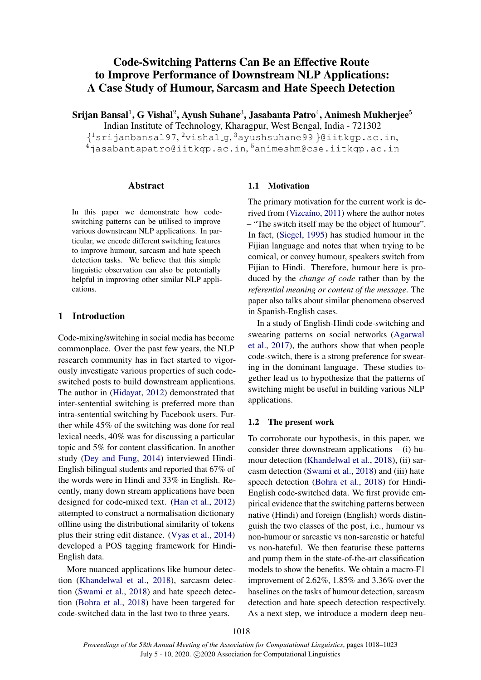# Code-Switching Patterns Can Be an Effective Route to Improve Performance of Downstream NLP Applications: A Case Study of Humour, Sarcasm and Hate Speech Detection

Srijan Bansal $^1$ , G Vishal $^2$ , Ayush Suhane $^3$ , Jasabanta Patro $^4$ , Animesh Mukherjee $^5$ 

Indian Institute of Technology, Kharagpur, West Bengal, India - 721302  ${^{1}}$ srijanbansal97, $^{2}$ vishal\_g, $^{3}$ ayushsuhane99 }@iitkgp.ac.in,

 $^4$ jasabantapatro@iitkgp.ac.in, $^5$ animeshm@cse.iitkgp.ac.in

#### Abstract

In this paper we demonstrate how codeswitching patterns can be utilised to improve various downstream NLP applications. In particular, we encode different switching features to improve humour, sarcasm and hate speech detection tasks. We believe that this simple linguistic observation can also be potentially helpful in improving other similar NLP applications.

## 1 Introduction

Code-mixing/switching in social media has become commonplace. Over the past few years, the NLP research community has in fact started to vigorously investigate various properties of such codeswitched posts to build downstream applications. The author in [\(Hidayat,](#page-5-0) [2012\)](#page-5-0) demonstrated that inter-sentential switching is preferred more than intra-sentential switching by Facebook users. Further while 45% of the switching was done for real lexical needs, 40% was for discussing a particular topic and 5% for content classification. In another study [\(Dey and Fung,](#page-5-1) [2014\)](#page-5-1) interviewed Hindi-English bilingual students and reported that 67% of the words were in Hindi and 33% in English. Recently, many down stream applications have been designed for code-mixed text. [\(Han et al.,](#page-5-2) [2012\)](#page-5-2) attempted to construct a normalisation dictionary offline using the distributional similarity of tokens plus their string edit distance. [\(Vyas et al.,](#page-5-3) [2014\)](#page-5-3) developed a POS tagging framework for Hindi-English data.

More nuanced applications like humour detection [\(Khandelwal et al.,](#page-5-4) [2018\)](#page-5-4), sarcasm detection [\(Swami et al.,](#page-5-5) [2018\)](#page-5-5) and hate speech detection [\(Bohra et al.,](#page-5-6) [2018\)](#page-5-6) have been targeted for code-switched data in the last two to three years.

#### 1.1 Motivation

The primary motivation for the current work is de-rived from (Vizcaíno, [2011\)](#page-5-7) where the author notes – "The switch itself may be the object of humour". In fact, [\(Siegel,](#page-5-8) [1995\)](#page-5-8) has studied humour in the Fijian language and notes that when trying to be comical, or convey humour, speakers switch from Fijian to Hindi. Therefore, humour here is produced by the *change of code* rather than by the *referential meaning or content of the message*. The paper also talks about similar phenomena observed in Spanish-English cases.

In a study of English-Hindi code-switching and swearing patterns on social networks [\(Agarwal](#page-4-0) [et al.,](#page-4-0) [2017\)](#page-4-0), the authors show that when people code-switch, there is a strong preference for swearing in the dominant language. These studies together lead us to hypothesize that the patterns of switching might be useful in building various NLP applications.

## 1.2 The present work

To corroborate our hypothesis, in this paper, we consider three downstream applications – (i) humour detection [\(Khandelwal et al.,](#page-5-4) [2018\)](#page-5-4), (ii) sarcasm detection [\(Swami et al.,](#page-5-5) [2018\)](#page-5-5) and (iii) hate speech detection [\(Bohra et al.,](#page-5-6) [2018\)](#page-5-6) for Hindi-English code-switched data. We first provide empirical evidence that the switching patterns between native (Hindi) and foreign (English) words distinguish the two classes of the post, i.e., humour vs non-humour or sarcastic vs non-sarcastic or hateful vs non-hateful. We then featurise these patterns and pump them in the state-of-the-art classification models to show the benefits. We obtain a macro-F1 improvement of 2.62%, 1.85% and 3.36% over the baselines on the tasks of humour detection, sarcasm detection and hate speech detection respectively. As a next step, we introduce a modern deep neu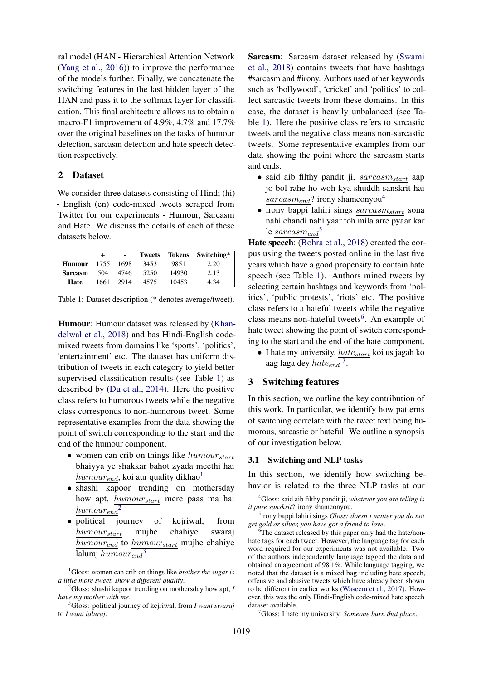ral model (HAN - Hierarchical Attention Network [\(Yang et al.,](#page-5-9) [2016\)](#page-5-9)) to improve the performance of the models further. Finally, we concatenate the switching features in the last hidden layer of the HAN and pass it to the softmax layer for classification. This final architecture allows us to obtain a macro-F1 improvement of 4.9%, 4.7% and 17.7% over the original baselines on the tasks of humour detection, sarcasm detection and hate speech detection respectively.

# 2 Dataset

We consider three datasets consisting of Hindi (hi) - English (en) code-mixed tweets scraped from Twitter for our experiments - Humour, Sarcasm and Hate. We discuss the details of each of these datasets below.

<span id="page-1-0"></span>

|                |      | ٠    | <b>Tweets</b> | <b>Tokens</b> | Switching* |
|----------------|------|------|---------------|---------------|------------|
| <b>Humour</b>  | 1755 | 1698 | 3453          | 9851          | 2.20       |
| <b>Sarcasm</b> | 504  | 4746 | 5250          | 14930         | 2.13       |
| Hate           | 1661 | 2914 | 4575          | 10453         | 4 34       |

Table 1: Dataset description (\* denotes average/tweet).

Humour: Humour dataset was released by [\(Khan](#page-5-4)[delwal et al.,](#page-5-4) [2018\)](#page-5-4) and has Hindi-English codemixed tweets from domains like 'sports', 'politics', 'entertainment' etc. The dataset has uniform distribution of tweets in each category to yield better supervised classification results (see Table [1\)](#page-1-0) as described by [\(Du et al.,](#page-5-10) [2014\)](#page-5-10). Here the positive class refers to humorous tweets while the negative class corresponds to non-humorous tweet. Some representative examples from the data showing the point of switch corresponding to the start and the end of the humour component.

- women can crib on things like  $humour_{start}$ bhaiyya ye shakkar bahot zyada meethi hai  $humour_{end}$ , koi aur quality dikhao<sup>[1](#page-1-1)</sup>
- shashi kapoor trending on mothersday how apt, humour<sub>start</sub> mere paas ma hai  $humour_{end}^2$  $humour_{end}^2$
- political journey of kejriwal, from  $humour_{start}$  mujhe chahiye swaraj  $humour_{end}$  to  $humour_{start}$  mujhe chahiye laluraj  $humour_{end}$ <sup>[3](#page-1-3)</sup>

Sarcasm: Sarcasm dataset released by [\(Swami](#page-5-5) [et al.,](#page-5-5) [2018\)](#page-5-5) contains tweets that have hashtags #sarcasm and #irony. Authors used other keywords such as 'bollywood', 'cricket' and 'politics' to collect sarcastic tweets from these domains. In this case, the dataset is heavily unbalanced (see Table [1\)](#page-1-0). Here the positive class refers to sarcastic tweets and the negative class means non-sarcastic tweets. Some representative examples from our data showing the point where the sarcasm starts and ends.

- said aib filthy pandit ji,  $sarcasm_{start}$  aap jo bol rahe ho woh kya shuddh sanskrit hai  $sarcasm_{end}$ ? irony shameonyou<sup>[4](#page-1-4)</sup>
- $\bullet$  irony bappi lahiri sings  $sarcasm_{start}$  sona nahi chandi nahi yaar toh mila arre pyaar kar le  $sarcasm_{end}$ <sup>[5](#page-1-5)</sup>

Hate speech: [\(Bohra et al.,](#page-5-6) [2018\)](#page-5-6) created the corpus using the tweets posted online in the last five years which have a good propensity to contain hate speech (see Table [1\)](#page-1-0). Authors mined tweets by selecting certain hashtags and keywords from 'politics', 'public protests', 'riots' etc. The positive class refers to a hateful tweets while the negative class means non-hateful tweets<sup>[6](#page-1-6)</sup>. An example of hate tweet showing the point of switch corresponding to the start and the end of the hate component.

• I hate my university,  $hate_{start}$  koi us jagah ko aag laga dey  $\frac{hate_{end}}{2}$ .

## 3 Switching features

In this section, we outline the key contribution of this work. In particular, we identify how patterns of switching correlate with the tweet text being humorous, sarcastic or hateful. We outline a synopsis of our investigation below.

#### 3.1 Switching and NLP tasks

In this section, we identify how switching behavior is related to the three NLP tasks at our

<span id="page-1-7"></span><sup>7</sup>Gloss: I hate my university. *Someone burn that place*.

<span id="page-1-1"></span><sup>1</sup>Gloss: women can crib on things like *brother the sugar is a little more sweet, show a different quality*.

<span id="page-1-2"></span><sup>2</sup>Gloss: shashi kapoor trending on mothersday how apt, *I have my mother with me*.

<span id="page-1-3"></span><sup>3</sup>Gloss: political journey of kejriwal, from *I want swaraj* to *I want laluraj*.

<span id="page-1-4"></span><sup>4</sup>Gloss: said aib filthy pandit ji, *whatever you are telling is it pure sanskrit*? irony shameonyou.

<span id="page-1-5"></span><sup>5</sup> irony bappi lahiri sings *Gloss: doesn't matter you do not get gold or silver, you have got a friend to love*.

<span id="page-1-6"></span><sup>&</sup>lt;sup>6</sup>The dataset released by this paper only had the hate/nonhate tags for each tweet. However, the language tag for each word required for our experiments was not available. Two of the authors independently language tagged the data and obtained an agreement of 98.1%. While language tagging, we noted that the dataset is a mixed bag including hate speech, offensive and abusive tweets which have already been shown to be different in earlier works [\(Waseem et al.,](#page-5-11) [2017\)](#page-5-11). However, this was the only Hindi-English code-mixed hate speech dataset available.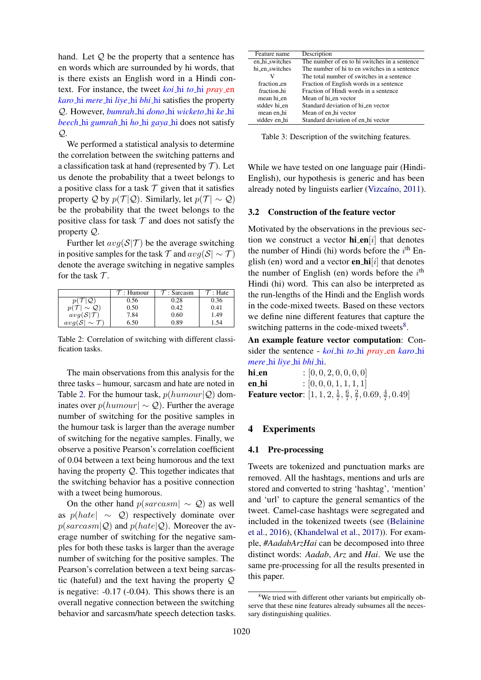hand. Let  $Q$  be the property that a sentence has en words which are surrounded by hi words, that is there exists an English word in a Hindi context. For instance, the tweet *koi* hi *to* hi *pray* en *karo* hi *mere* hi *liye* hi *bhi* hi satisfies the property Q. However, *bumrah* hi *dono* hi *wicketo* hi *ke* hi *beech* hi *gumrah* hi *ho* hi *gaya* hi does not satisfy  $Q_{\cdot}$ 

We performed a statistical analysis to determine the correlation between the switching patterns and a classification task at hand (represented by  $\mathcal T$ ). Let us denote the probability that a tweet belongs to a positive class for a task  $T$  given that it satisfies property Q by  $p(\mathcal{T} | \mathcal{Q})$ . Similarly, let  $p(\mathcal{T} | \sim \mathcal{Q})$ be the probability that the tweet belongs to the positive class for task  $T$  and does not satisfy the property Q.

Further let  $avg(S|\mathcal{T})$  be the average switching in positive samples for the task  $\mathcal T$  and  $avg(\mathcal{S} \sim \mathcal T)$ denote the average switching in negative samples for the task  $\mathcal{T}$ .

<span id="page-2-0"></span>

|                                   | $\tau$ : Humour | $\tau$ : Sarcasm | ": Hate |
|-----------------------------------|-----------------|------------------|---------|
| $\mathcal{Q}$                     | 0.56            | 0.28             | 0.36    |
| $p(\mathcal{T} \sim \mathcal{Q})$ | 0.50            | 0.42             | 0.41    |
| $avg(S \mathcal{T})$              | 7.84            | 0.60             | 1.49    |
| $avg(S \sim \mathcal{T})$         | 6.50            | 0.89             | .54     |

Table 2: Correlation of switching with different classification tasks.

The main observations from this analysis for the three tasks – humour, sarcasm and hate are noted in Table [2.](#page-2-0) For the humour task,  $p(humour|Q)$  dominates over  $p(humour| \sim Q)$ . Further the average number of switching for the positive samples in the humour task is larger than the average number of switching for the negative samples. Finally, we observe a positive Pearson's correlation coefficient of 0.04 between a text being humorous and the text having the property Q. This together indicates that the switching behavior has a positive connection with a tweet being humorous.

On the other hand  $p(sarcasm \sim Q)$  as well as  $p(hate \sim Q)$  respectively dominate over  $p(sarcasm|\mathcal{Q})$  and  $p(hate|\mathcal{Q})$ . Moreover the average number of switching for the negative samples for both these tasks is larger than the average number of switching for the positive samples. The Pearson's correlation between a text being sarcastic (hateful) and the text having the property Q is negative: -0.17 (-0.04). This shows there is an overall negative connection between the switching behavior and sarcasm/hate speech detection tasks.

| Feature name   | Description                                    |
|----------------|------------------------------------------------|
| en_hi_switches | The number of en to hi switches in a sentence  |
| hi_en_switches | The number of hi to en switches in a sentence  |
|                | The total number of switches in a sentence     |
| fraction en    | Fraction of English words in a sentence        |
| fraction hi    | Fraction of Hindi words in a sentence          |
| mean hi_en     | Mean of hi_en vector                           |
| stddev hi_en   | Standard deviation of hi <sub>sen</sub> vector |
| mean en_hi     | Mean of en_hi vector                           |
| stddev en hi   | Standard deviation of en_hi vector             |

Table 3: Description of the switching features.

While we have tested on one language pair (Hindi-English), our hypothesis is generic and has been already noted by linguists earlier (Vizcaíno, [2011\)](#page-5-7).

#### 3.2 Construction of the feature vector

Motivated by the observations in the previous section we construct a vector  $\text{hi}$ -en[i] that denotes the number of Hindi (hi) words before the  $i<sup>th</sup>$  English (en) word and a vector **en hi** $[i]$  that denotes the number of English (en) words before the  $i<sup>th</sup>$ Hindi (hi) word. This can also be interpreted as the run-lengths of the Hindi and the English words in the code-mixed tweets. Based on these vectors we define nine different features that capture the switching patterns in the code-mixed tweets<sup>[8](#page-2-1)</sup>.

An example feature vector computation: Consider the sentence - *koi* hi *to* hi *pray* en *karo* hi *mere* hi *liye* hi *bhi* hi.

**hi\_en** :  $[0, 0, 2, 0, 0, 0, 0]$ en hi :  $[0, 0, 0, 1, 1, 1, 1]$ Feature vector:  $[1, 1, 2, \frac{1}{7}]$  $\frac{1}{7}, \frac{6}{7}$  $\frac{6}{7}, \frac{2}{7}$  $\frac{2}{7}$ , 0.69,  $\frac{4}{7}$  $\frac{4}{7}, 0.49$ ]

## 4 Experiments

#### 4.1 Pre-processing

Tweets are tokenized and punctuation marks are removed. All the hashtags, mentions and urls are stored and converted to string 'hashtag', 'mention' and 'url' to capture the general semantics of the tweet. Camel-case hashtags were segregated and included in the tokenized tweets (see [\(Belainine](#page-5-12) [et al.,](#page-5-12) [2016\)](#page-5-12), [\(Khandelwal et al.,](#page-5-13) [2017\)](#page-5-13)). For example, *#AadabArzHai* can be decomposed into three distinct words: *Aadab*, *Arz* and *Hai*. We use the same pre-processing for all the results presented in this paper.

<span id="page-2-1"></span><sup>&</sup>lt;sup>8</sup>We tried with different other variants but empirically observe that these nine features already subsumes all the necessary distinguishing qualities.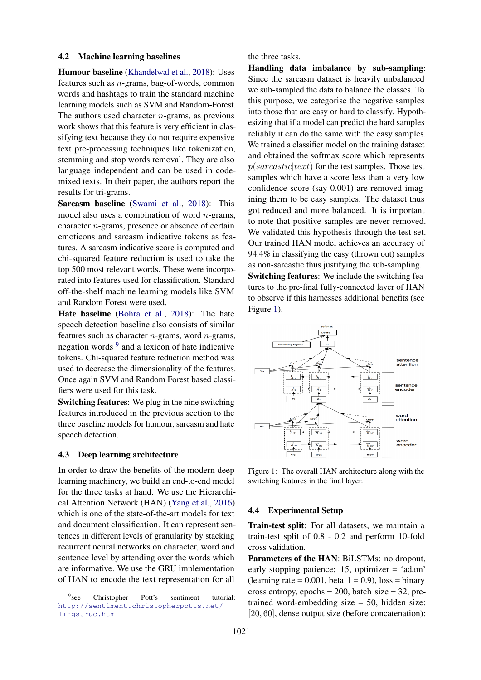## 4.2 Machine learning baselines

Humour baseline [\(Khandelwal et al.,](#page-5-4) [2018\)](#page-5-4): Uses features such as n-grams, bag-of-words, common words and hashtags to train the standard machine learning models such as SVM and Random-Forest. The authors used character  $n$ -grams, as previous work shows that this feature is very efficient in classifying text because they do not require expensive text pre-processing techniques like tokenization, stemming and stop words removal. They are also language independent and can be used in codemixed texts. In their paper, the authors report the results for tri-grams.

Sarcasm baseline [\(Swami et al.,](#page-5-5) [2018\)](#page-5-5): This model also uses a combination of word  $n$ -grams, character n-grams, presence or absence of certain emoticons and sarcasm indicative tokens as features. A sarcasm indicative score is computed and chi-squared feature reduction is used to take the top 500 most relevant words. These were incorporated into features used for classification. Standard off-the-shelf machine learning models like SVM and Random Forest were used.

Hate baseline [\(Bohra et al.,](#page-5-6) [2018\)](#page-5-6): The hate speech detection baseline also consists of similar features such as character *n*-grams, word *n*-grams, negation words <sup>[9](#page-3-0)</sup> and a lexicon of hate indicative tokens. Chi-squared feature reduction method was used to decrease the dimensionality of the features. Once again SVM and Random Forest based classifiers were used for this task.

Switching features: We plug in the nine switching features introduced in the previous section to the three baseline models for humour, sarcasm and hate speech detection.

## 4.3 Deep learning architecture

In order to draw the benefits of the modern deep learning machinery, we build an end-to-end model for the three tasks at hand. We use the Hierarchical Attention Network (HAN) [\(Yang et al.,](#page-5-9) [2016\)](#page-5-9) which is one of the state-of-the-art models for text and document classification. It can represent sentences in different levels of granularity by stacking recurrent neural networks on character, word and sentence level by attending over the words which are informative. We use the GRU implementation of HAN to encode the text representation for all

the three tasks.

Handling data imbalance by sub-sampling: Since the sarcasm dataset is heavily unbalanced we sub-sampled the data to balance the classes. To this purpose, we categorise the negative samples into those that are easy or hard to classify. Hypothesizing that if a model can predict the hard samples reliably it can do the same with the easy samples. We trained a classifier model on the training dataset and obtained the softmax score which represents  $p(sarcastic|text)$  for the test samples. Those test samples which have a score less than a very low confidence score (say 0.001) are removed imagining them to be easy samples. The dataset thus got reduced and more balanced. It is important to note that positive samples are never removed. We validated this hypothesis through the test set. Our trained HAN model achieves an accuracy of 94.4% in classifying the easy (thrown out) samples as non-sarcastic thus justifying the sub-sampling. Switching features: We include the switching features to the pre-final fully-connected layer of HAN to observe if this harnesses additional benefits (see Figure [1\)](#page-3-1).

<span id="page-3-1"></span>

Figure 1: The overall HAN architecture along with the switching features in the final layer.

#### 4.4 Experimental Setup

Train-test split: For all datasets, we maintain a train-test split of 0.8 - 0.2 and perform 10-fold cross validation.

Parameters of the HAN: BiLSTMs: no dropout, early stopping patience: 15, optimizer = 'adam'  $(learning rate = 0.001, beta_1 = 0.9)$ ,  $loss = binary$ cross entropy, epochs =  $200$ , batch\_size =  $32$ , pretrained word-embedding size = 50, hidden size: [20, 60], dense output size (before concatenation):

<span id="page-3-0"></span><sup>&</sup>lt;sup>9</sup>see Christopher Pott's sentiment tutorial: [http://sentiment.christopherpotts.net/](http://sentiment.christopherpotts.net/lingstruc.html) [lingstruc.html](http://sentiment.christopherpotts.net/lingstruc.html)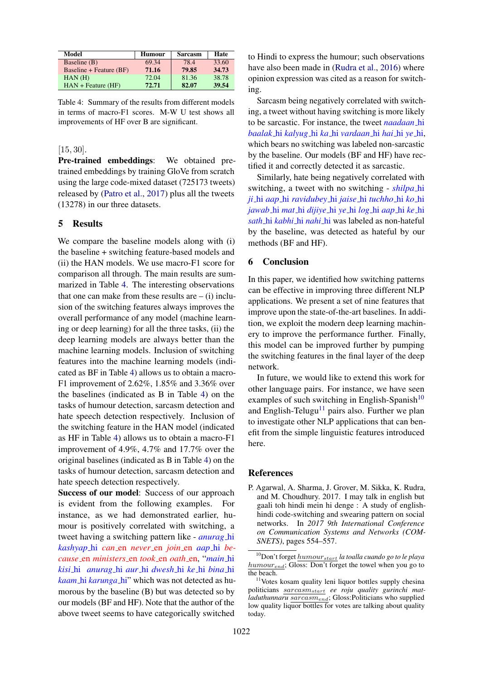<span id="page-4-1"></span>

| Model                   | Humour | <b>Sarcasm</b> | Hate  |
|-------------------------|--------|----------------|-------|
| Baseline (B)            | 69.34  | 78.4           | 33.60 |
| Baseline + Feature (BF) | 71.16  | 79.85          | 34.73 |
| $HAN$ (H)               | 72.04  | 81.36          | 38.78 |
| $HAN + Feature (HF)$    | 72.71  | 82.07          | 39.54 |

Table 4: Summary of the results from different models in terms of macro-F1 scores. M-W U test shows all improvements of HF over B are significant.

## [15, 30].

Pre-trained embeddings: We obtained pretrained embeddings by training GloVe from scratch using the large code-mixed dataset (725173 tweets) released by [\(Patro et al.,](#page-5-14) [2017\)](#page-5-14) plus all the tweets (13278) in our three datasets.

## 5 Results

We compare the baseline models along with (i) the baseline + switching feature-based models and (ii) the HAN models. We use macro-F1 score for comparison all through. The main results are summarized in Table [4.](#page-4-1) The interesting observations that one can make from these results are  $-$  (i) inclusion of the switching features always improves the overall performance of any model (machine learning or deep learning) for all the three tasks, (ii) the deep learning models are always better than the machine learning models. Inclusion of switching features into the machine learning models (indicated as BF in Table [4\)](#page-4-1) allows us to obtain a macro-F1 improvement of 2.62%, 1.85% and 3.36% over the baselines (indicated as B in Table [4\)](#page-4-1) on the tasks of humour detection, sarcasm detection and hate speech detection respectively. Inclusion of the switching feature in the HAN model (indicated as HF in Table [4\)](#page-4-1) allows us to obtain a macro-F1 improvement of 4.9%, 4.7% and 17.7% over the original baselines (indicated as B in Table [4\)](#page-4-1) on the tasks of humour detection, sarcasm detection and hate speech detection respectively.

Success of our model: Success of our approach is evident from the following examples. For instance, as we had demonstrated earlier, humour is positively correlated with switching, a tweet having a switching pattern like - *anurag* hi *kashyap* hi *can* en *never* en *join* en *aap* hi *because* en *ministers* en *took* en *oath* en, "*main* hi *kisi* hi *anurag* hi *aur* hi *dwesh* hi *ke* hi *bina* hi *kaam* hi *karunga* hi" which was not detected as humorous by the baseline (B) but was detected so by our models (BF and HF). Note that the author of the above tweet seems to have categorically switched

to Hindi to express the humour; such observations have also been made in [\(Rudra et al.,](#page-5-15) [2016\)](#page-5-15) where opinion expression was cited as a reason for switching.

Sarcasm being negatively correlated with switching, a tweet without having switching is more likely to be sarcastic. For instance, the tweet *naadaan* hi *baalak* hi *kalyug* hi *ka* hi *vardaan* hi *hai* hi *ye* hi, which bears no switching was labeled non-sarcastic by the baseline. Our models (BF and HF) have rectified it and correctly detected it as sarcastic.

Similarly, hate being negatively correlated with switching, a tweet with no switching - *shilpa* hi *ji* hi *aap* hi *ravidubey* hi *jaise* hi *tuchho* hi *ko* hi *jawab* hi *mat* hi *dijiye* hi *ye* hi *log* hi *aap* hi *ke* hi *sath* hi *kabhi* hi *nahi* hi was labeled as non-hateful by the baseline, was detected as hateful by our methods (BF and HF).

# 6 Conclusion

In this paper, we identified how switching patterns can be effective in improving three different NLP applications. We present a set of nine features that improve upon the state-of-the-art baselines. In addition, we exploit the modern deep learning machinery to improve the performance further. Finally, this model can be improved further by pumping the switching features in the final layer of the deep network.

In future, we would like to extend this work for other language pairs. For instance, we have seen examples of such switching in English-Spanish $10$ and English-Telugu<sup>[11](#page-4-3)</sup> pairs also. Further we plan to investigate other NLP applications that can benefit from the simple linguistic features introduced here.

#### References

<span id="page-4-0"></span>P. Agarwal, A. Sharma, J. Grover, M. Sikka, K. Rudra, and M. Choudhury. 2017. I may talk in english but gaali toh hindi mein hi denge : A study of englishhindi code-switching and swearing pattern on social networks. In *2017 9th International Conference on Communication Systems and Networks (COM-SNETS)*, pages 554–557.

<span id="page-4-2"></span><sup>10</sup>Don't forget humourstart *la toalla cuando go to le playa*  $humour_{end}$ ; Gloss: Don't forget the towel when you go to the beach.

<span id="page-4-3"></span><sup>&</sup>lt;sup>11</sup>Votes kosam quality leni liquor bottles supply chesina politicians sarcasmstart *ee roju quality gurinchi matladuthunnaru* sarcasmend; Gloss:Politicians who supplied low quality liquor bottles for votes are talking about quality today.